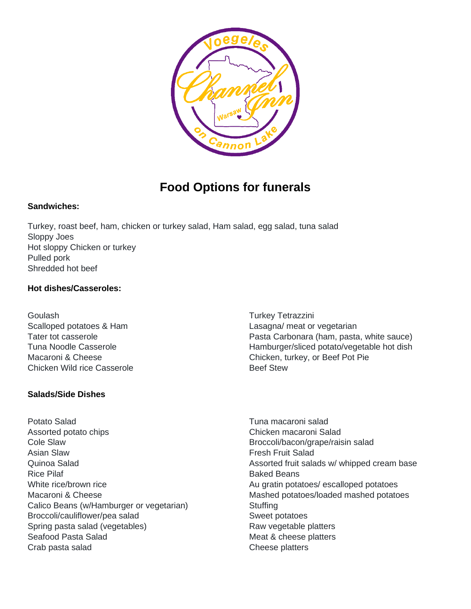

# **Food Options for funerals**

## **Sandwiches:**

Turkey, roast beef, ham, chicken or turkey salad, Ham salad, egg salad, tuna salad Sloppy Joes Hot sloppy Chicken or turkey Pulled pork Shredded hot beef

## **Hot dishes/Casseroles:**

Goulash Scalloped potatoes & Ham Tater tot casserole Tuna Noodle Casserole Macaroni & Cheese Chicken Wild rice Casserole

#### **Salads/Side Dishes**

Potato Salad Assorted potato chips Cole Slaw Asian Slaw Quinoa Salad Rice Pilaf White rice/brown rice Macaroni & Cheese Calico Beans (w/Hamburger or vegetarian) Broccoli/cauliflower/pea salad Spring pasta salad (vegetables) Seafood Pasta Salad Crab pasta salad

Turkey Tetrazzini Lasagna/ meat or vegetarian Pasta Carbonara (ham, pasta, white sauce) Hamburger/sliced potato/vegetable hot dish Chicken, turkey, or Beef Pot Pie Beef Stew

Tuna macaroni salad Chicken macaroni Salad Broccoli/bacon/grape/raisin salad Fresh Fruit Salad Assorted fruit salads w/ whipped cream base Baked Beans Au gratin potatoes/ escalloped potatoes Mashed potatoes/loaded mashed potatoes **Stuffing** Sweet potatoes Raw vegetable platters Meat & cheese platters Cheese platters